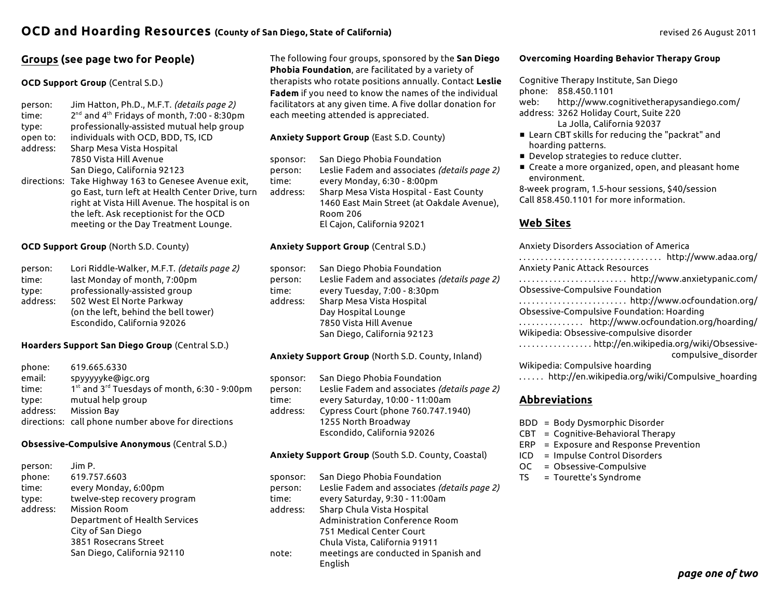# **Groups (see page two for People)**

### **OCD Support Group** (Central S.D.)

| person:<br>time: | Jim Hatton, Ph.D., M.F.T. (details page 2)<br>2 <sup>nd</sup> and 4 <sup>th</sup> Fridays of month, 7:00 - 8:30pm |
|------------------|-------------------------------------------------------------------------------------------------------------------|
| type:            | professionally-assisted mutual help group                                                                         |
| open to:         | individuals with OCD, BDD, TS, ICD                                                                                |
| address:         | Sharp Mesa Vista Hospital                                                                                         |
|                  | 7850 Vista Hill Avenue                                                                                            |
|                  | San Diego, California 92123                                                                                       |
|                  | directions: Take Highway 163 to Genesee Avenue exit,                                                              |
|                  | go East, turn left at Health Center Drive, turn                                                                   |
|                  | right at Vista Hill Avenue. The hospital is on                                                                    |
|                  | the left. Ask receptionist for the OCD                                                                            |
|                  | meeting or the Day Treatment Lounge.                                                                              |

**OCD Support Group** (North S.D. County)

| person:  | Lori Riddle-Walker, M.F.T. (details page 2) |  |
|----------|---------------------------------------------|--|
| time:    | last Monday of month, 7:00pm                |  |
| tvpe:    | professionally-assisted group               |  |
| address: | 502 West El Norte Parkway                   |  |
|          | (on the left, behind the bell tower)        |  |
|          | Escondido, California 92026                 |  |

#### **Hoarders Support San Diego Group** (Central S.D.)

| phone:   | 619.665.6330                                       |
|----------|----------------------------------------------------|
| email:   | spyyyyyke@igc.org                                  |
| time:    | 1st and 3rd Tuesdays of month, 6:30 - 9:00pm       |
| tvpe:    | mutual help group                                  |
| address: | <b>Mission Bay</b>                                 |
|          | directions: call phone number above for directions |

#### **Obsessive-Compulsive Anonymous** (Central S.D.)

| person:  | Jim P.                        |
|----------|-------------------------------|
| phone:   | 619.757.6603                  |
| time:    | every Monday, 6:00pm          |
| type:    | twelve-step recovery program  |
| address: | <b>Mission Room</b>           |
|          | Department of Health Services |
|          | City of San Diego             |
|          | 3851 Rosecrans Street         |
|          | San Diego, California 92110   |

The following four groups, sponsored by the **San Diego Phobia Foundation**, are facilitated by a variety of therapists who rotate positions annually. Contact **Leslie Fadem** if you need to know the names of the individual facilitators at any given time. A five dollar donation for each meeting attended is appreciated.

## **Anxiety Support Group** (East S.D. County)

| sponsor: | San Diego Phobia Foundation                  |
|----------|----------------------------------------------|
| person:  | Leslie Fadem and associates (details page 2) |
| time:    | every Monday, 6:30 - 8:00pm                  |
| address: | Sharp Mesa Vista Hospital - East County      |
|          | 1460 East Main Street (at Oakdale Avenue),   |
|          | Room 206                                     |
|          | El Cajon, California 92021                   |

### **Anxiety Support Group** (Central S.D.)

| sponsor: | San Diego Phobia Foundation                  |
|----------|----------------------------------------------|
| person:  | Leslie Fadem and associates (details page 2) |
| time:    | every Tuesday, 7:00 - 8:30pm                 |
| address: | Sharp Mesa Vista Hospital                    |
|          | Day Hospital Lounge                          |
|          | 7850 Vista Hill Avenue                       |
|          | San Diego, California 92123                  |
|          |                                              |

## **Anxiety Support Group** (North S.D. County, Inland)

| sponsor:<br>person:<br>time:<br>address: | San Diego Phobia Foundation<br>Leslie Fadem and associates (details page 2)<br>every Saturday, 10:00 - 11:00am<br>Cypress Court (phone 760.747.1940) |
|------------------------------------------|------------------------------------------------------------------------------------------------------------------------------------------------------|
|                                          | 1255 North Broadway                                                                                                                                  |
|                                          | Escondido, California 92026                                                                                                                          |
|                                          |                                                                                                                                                      |

#### **Anxiety Support Group** (South S.D. County, Coastal)

| sponsor: | San Diego Phobia Foundation                  |
|----------|----------------------------------------------|
| person:  | Leslie Fadem and associates (details page 2) |
| time:    | every Saturday, 9:30 - 11:00am               |
| address: | Sharp Chula Vista Hospital                   |
|          | Administration Conference Room               |
|          | 751 Medical Center Court                     |
|          | Chula Vista, California 91911                |
| note:    | meetings are conducted in Spanish and        |
|          | English                                      |

#### **Overcoming Hoarding Behavior Therapy Group**

Cognitive Therapy Institute, San Diego

phone: 858.450.1101

web: http://www.cognitivetherapysandiego.com/ address: 3262 Holiday Court, Suite 220

La Jolla, California 92037

- Learn CBT skills for reducing the "packrat" and hoarding patterns.
- **Develop strategies to reduce clutter.**
- Create a more organized, open, and pleasant home environment.

8-week program, 1.5-hour sessions, \$40/session Call 858.450.1101 for more information.

## **Web Sites**

| Anxiety Disorders Association of America         |
|--------------------------------------------------|
|                                                  |
| <b>Anxiety Panic Attack Resources</b>            |
| http://www.anxietypanic.com/                     |
| Obsessive-Compulsive Foundation                  |
|                                                  |
| Obsessive-Compulsive Foundation: Hoarding        |
| http://www.ocfoundation.org/hoarding/            |
| Wikipedia: Obsessive-compulsive disorder         |
|                                                  |
| compulsive disorder                              |
| Wikipedia: Compulsive hoarding                   |
| http://en.wikipedia.org/wiki/Compulsive_boarding |

. . . . . . http://en.wikipedia.org/wiki/Compulsive\_hoarding

## **Abbreviations**

- BDD = Body Dysmorphic Disorder
- CBT = Cognitive-Behavioral Therapy
- ERP = Exposure and Response Prevention
- ICD = Impulse Control Disorders
- OC = Obsessive-Compulsive
- TS = Tourette's Syndrome